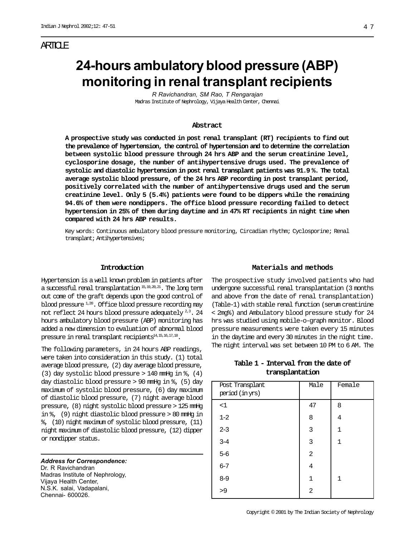# ARTICLE

# **24-hours ambulatory blood pressure (ABP) monitoring in renal transplant recipients**

*R Ravichandran, SM Rao, T Rengarajan* Madras Institute of Nephrology, Vijaya Health Center, Chennai

#### **Abstract**

**A prospective study was conducted in post renal transplant (RT) recipients to find out the prevalence of hypertension, the control of hypertension and to determine the correlation between systolic blood pressure through 24 hrs ABP and the serum creatinine level, cyclosporine dosage, the number of antihypertensive drugs used. The prevalence of systolic and diastolic hypertension in post renal transplant patients was 91.9 %. The total average systolic blood pressure, of the 24 hrs ABP recording in post transplant period, positively correlated with the number of antihypertensive drugs used and the serum creatinine level. Only 5 (5.4%) patients were found to be dippers while the remaining 94.6% of them were nondippers. The office blood pressure recording failed to detect hypertension in 25% of them during daytime and in 47% RT recipients in night time when compared with 24 hrs ABP results.**

Key words: Continuous ambulatory blood pressure monitoring, Circadian rhythm; Cyclosporine; Renal transplant; Antihypertensives;

#### **Introduction**

Hypertension is a well known problem in patients after a successful renal transplantation  $^{15,19,20,21}$ . The long term out come of the graft depends upon the good control of blood pressure  $^{1,20}$ . Office blood pressure recording may not reflect 24 hours blood pressure adequately 2,3. 24 hours ambulatory blood pressure (ABP) monitoring has added a new dimension to evaluation of abnormal blood pressure in renal transplant recipients $^{14,15,16,17,18}$ .

The following parameters, in 24 hours ABP readings, were taken into consideration in this study. (1) total average blood pressure, (2) day average blood pressure, (3) day systolic blood pressure  $> 140$  mmHg in  $\frac{1}{6}$ , (4) day diastolic blood pressure > 90 mmHg in %, (5) day maximum of systolic blood pressure, (6) day maximum of diastolic blood pressure, (7) night average blood pressure, (8) night systolic blood pressure > 125 mmHg in  $\ell$ , (9) night diastolic blood pressure  $> 80$  mmHg in %, (10) night maximum of systolic blood pressure, (11) night maximum of diastolic blood pressure, (12) dipper or nondipper status.

*Address for Correspondence:* Dr. R Ravichandran Madras Institute of Nephrology, Vijaya Health Center, N.S.K. salai, Vadapalani, Chennai- 600026.

## **Materials and methods**

The prospective study involved patients who had undergone successful renal transplantation (3 months and above from the date of renal transplantation) (Table-1) with stable renal function (serum creatinine < 2mg%) and Ambulatory blood pressure study for 24 hrs was studied using mobile-o-graph monitor. Blood pressure measurements were taken every 15 minutes in the daytime and every 30 minutes in the night time. The night interval was set between 10 PM to 6 AM. The

|  | Table 1 - Interval from the date of |  |  |
|--|-------------------------------------|--|--|
|  | transplantation                     |  |  |

| Post Transplant<br>period (in yrs) | Male         | Female       |
|------------------------------------|--------------|--------------|
| <1                                 | 47           | 8            |
| $1 - 2$                            | 8            | 4            |
| $2 - 3$                            | 3            | $\mathbf{1}$ |
| $3 - 4$                            | 3            | $\mathbf{1}$ |
| $5 - 6$                            | 2            |              |
| $6 - 7$                            | 4            |              |
| $8 - 9$                            | $\mathbf{1}$ | 1            |
| >9                                 | 2            |              |
|                                    |              |              |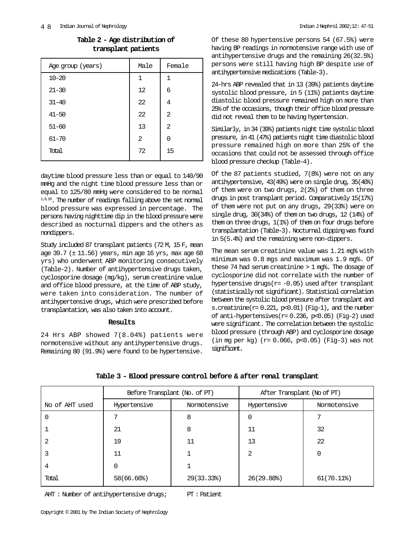| Age group (years) | Male         | Female |
|-------------------|--------------|--------|
| $10 - 20$         | $\mathbf{1}$ | 1      |
| $21 - 30$         | 12           | 6      |
| $31 - 40$         | 22           | 4      |
| $41 - 50$         | 22           | 2      |
| $51 - 60$         | 13           | 2      |
| $61 - 70$         | 2            | 0      |
| Total             | 72           | 15     |

**Table 2 - Age distribution of transplant patients**

daytime blood pressure less than or equal to 140/90 mmHg and the night time blood pressure less than or equal to 125/80 mmHg were considered to be normal 1,9,19. The number of readings falling above the set normal blood pressure was expressed in percentage. The persons having nighttime dip in the blood pressure were described as nocturnal dippers and the others as nondippers.

Study included 87 transplant patients (72 M, 15 F, mean age 39.7 (± 11.56) years, min age 16 yrs, max age 68 yrs) who underwent ABP monitoring consecutively (Table-2). Number of antihypertensive drugs taken, cyclosporine dosage (mg/kg), serum creatinine value and office blood pressure, at the time of ABP study, were taken into consideration. The number of antihypertensive drugs, which were prescribed before transplantation, was also taken into account.

# **Results**

24 Hrs ABP showed 7(8.04%) patients were normotensive without any antihypertensive drugs. Remaining 80 (91.9%) were found to be hypertensive.

Of these 80 hypertensive persons 54 (67.5%) were having BP readings in normotensive range with use of antihypertensive drugs and the remaining 26(32.5%) persons were still having high BP despite use of antihypertensive medications (Table-3).

24-hrs ABP revealed that in 13 (39%) patients daytime systolic blood pressure, in 5 (11%) patients daytime diastolic blood pressure remained high on more than 25% of the occasions, though their office blood pressure did not reveal them to be having hypertension.

Similarly, in 34 (39%) patients night time systolic blood pressure, in 41 (47%) patients night time diastolic blood pressure remained high on more than 25% of the occasions that could not be assessed through office blood pressure checkup (Table-4).

Of the 87 patients studied, 7(8%) were not on any antihypertensive, 43(49%) were on single drug, 35(40%) of them were on two drugs, 2(2%) of them on three drugs in post transplant period. Comparatively 15(17%) of them were not put on any drugs, 29(33%) were on single drug, 30(34%) of them on two drugs, 12 (14%) of them on three drugs, 1(1%) of them on four drugs before transplantation (Table-3). Nocturnal dipping was found in 5(5.4%) and the remaining were non-dippers.

The mean serum creatinine value was 1.21 mg% with minimum was 0.8 mgs and maximum was 1.9 mg%. Of these 74 had serum creatinine > 1 mg%. The dosage of cyclosporine did not correlate with the number of hypertensive drugs( $r=-0.05$ ) used after transplant (statistically not significant). Statistical correlation between the systolic blood pressure after transplant and s.creatinine( $r= 0.221$ ,  $p<0.01$ ) (Fig-1), and the number of anti-hypertensives( $r= 0.236$ ,  $p<0.05$ ) (Fig-2) used were significant. The correlation between the systolic blood pressure (through ABP) and cyclosporine dosage (in mg per kg) (r= 0.066, p<0.05) (Fig-3) was not significant.

|                | Before Transplant (No. of PT) |              | After Transplant (No of PT) |              |  |
|----------------|-------------------------------|--------------|-----------------------------|--------------|--|
| No of AHT used | Hypertensive                  | Normotensive | Hypertensive                | Normotensive |  |
|                |                               | 8            |                             |              |  |
|                | 21                            | 8            | 11                          | 32           |  |
|                | 19                            | 11           | 13                          | 22           |  |
|                | 11                            |              | 2                           |              |  |
| 4              |                               |              |                             |              |  |
| Total          | 58(66.66%)                    | 29(33.33)    | 26(29.88)                   | 61(70.11)    |  |

# **Table 3 - Blood pressure control before & after renal transplant**

AHT: Number of antihypertensive drugs; PT: Patient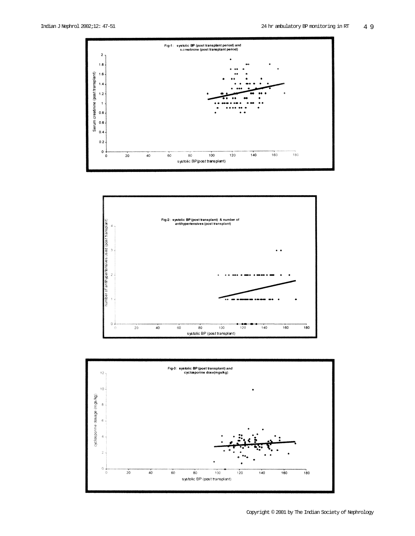



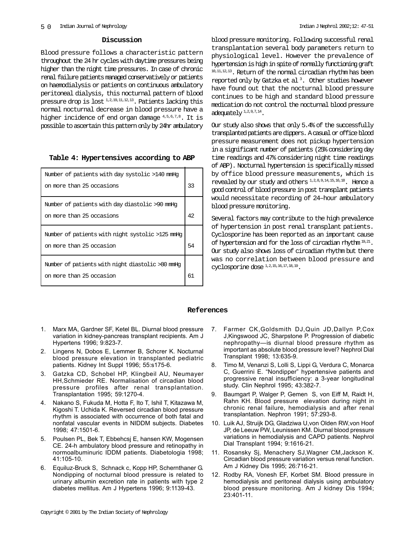### **Discussion**

Blood pressure follows a characteristic pattern throughout the 24 hr cycles with daytime pressures being higher than the night time pressures. In case of chronic renal failure patients managed conservatively or patients on haemodialysis or patients on continuous ambulatory peritoneal dialysis, this nocturnal pattern of blood pressure drop is lost  $^{1,2,19,11,12,13}$ . Patients lacking this normal nocturnal decrease in blood pressure have a higher incidence of end organ damage  $4,5,6,7,8$ . It is possible to ascertain this pattern only by 24hr ambulatory

# **Table 4: Hypertensives according to ABP**

| Number of patients with day systolic >140 mmHq   |    |
|--------------------------------------------------|----|
| on more than 25 occasions                        | 33 |
| Number of patients with day diastolic >90 mmHq   |    |
| on more than 25 occasions                        | 42 |
|                                                  |    |
| Number of patients with night systolic >125 mmHq |    |
| on more than 25 occasion                         | 54 |
| Number of patients with night diastolic >80 mmHq |    |
| on more than 25 occasion                         | 61 |

blood pressure monitoring. Following successful renal transplantation several body parameters return to physiological level. However the prevalence of hypertension is high in spite of normally functioning graft 10,11,12,13. Return of the normal circadian rhythm has been reported only by Gatzka et al 3 . Other studies however have found out that the nocturnal blood pressure continues to be high and standard blood pressure medication do not control the nocturnal blood pressure adequately<sup>1,2,9,7,14</sup>.

Our study also shows that only 5.4% of the successfully transplanted patients are dippers. A casual or office blood pressure measurement does not pickup hypertension in a significant number of patients (25% considering day time readings and 47% considering night time readings of ABP). Nocturnal hypertension is specifically missed by office blood pressure measurements, which is revealed by our study and others 1,2,8,9,14,15,16,18. Hence a good control of blood pressure in post transplant patients would necessitate recording of 24–hour ambulatory blood pressure monitoring.

Several factors may contribute to the high prevalence of hypertension in post renal transplant patients. Cyclosporine has been reported as an important cause of hypertension and for the loss of circadian rhythm  $^{19,21}$ . Our study also shows loss of circadian rhythm but there was no correlation between blood pressure and cyclosporine dose 1,2,15,16,17,18,19.

### **References**

- 1. Marx MA, Gardner SF, Ketel BL. Diurnal blood pressure variation in kidney-pancreas transplant recipients. Am J Hypertens 1996; 9:823-7.
- 2. Lingens N, Dobos E, Lemmer B, Schcrer K. Nocturnal blood pressure elevation in transplanted pediatric patients. Kidney Int Suppl 1996; 55:s175-6.
- 3. Gatzka CD, Schobel HP, Klingbeil AU, Neumayer HH,Schmieder RE. Normalisation of circadian blood pressure profiles after renal transplantation. Transplantation 1995; 59:1270-4.
- 4. Nakano S, Fukuda M, Hotta F, Ito T, Ishil T, Kitazawa M, Kigoshi T. Uchida K. Reversed circadian blood pressure rhythm is associated with occurrence of both fatal and nonfatal vascular events in NIDDM subjects. Diabetes 1998; 47:1501-6.
- 5. Poulsen PL, Bek T, Ebbehcsj E, hansen KW, Mogensen CE. 24-h ambulatory blood pressure and retinopathy in normoalbuminuric IDDM patients. Diabetologia 1998; 41:105-10.
- 6. Equiluz-Bruck S, Schnack c, Kopp HP, Schernthaner G. Nondipping of nocturnal blood pressure is related to urinary albumin excretion rate in patients with type 2 diabetes mellitus. Am J Hypertens 1996; 9:1139-43.
- 7. Farmer CK,Goldsmith DJ,Quin JD,Dallyn P,Cox J,Kingswood JC, Sharpstone P. Progression of diabetic nephropathy—is diurnal blood pressure rhythm as important as absolute blood pressure level? Nephrol Dial Transplant 1998; 13:635-9.
- 8. Timo M, Venanzi S, Lolli S, Lippi G, Verdura C, Monarca C, Guerrini E. "Nondipper" hypertensive patients and progressive renal insufficiency: a 3-year longitudinal study. Clin Nephrol 1995; 43:382-7.
- 9. Baumgart P, Walger P, Gemen S, von Eiff M, Raidt H, Rahn KH. Blood pressure elevation during night in chronic renal failure, hemodialysis and after renal transplantation. Nephron 1991; 57:293-8.
- 10. Luik AJ, Struijk DG, Gladziwa U,von Olden RW,von Hoof JP, de Leeuw PW, Leunissen KM. Diurnal blood pressure variations in hemodialysis and CAPD patients. Nephrol Dial Transplant 1994; 9:1616-21.
- 11. Rosansky Sj, Menachery SJ,Wagner CM,Jackson K. Circadian blood pressure variation versus renal function. Am J Kidney Dis 1995; 26:716-21.
- 12. Rodby RA, Vonesh EF, Korbet SM. Blood pressure in hemodialysis and peritoneal dialysis using ambulatory blood pressure monitoring. Am J kidney Dis 1994; 23:401-11.